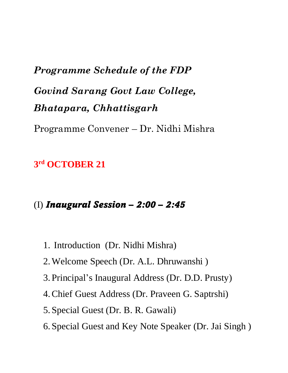# *Programme Schedule of the FDP Govind Sarang Govt Law College, Bhatapara, Chhattisgarh*

Programme Convener – Dr. Nidhi Mishra

# **3 rd OCTOBER 21**

## (I) *Inaugural Session – 2:00 – 2:45*

- 1. Introduction (Dr. Nidhi Mishra)
- 2.Welcome Speech (Dr. A.L. Dhruwanshi )
- 3. Principal's Inaugural Address (Dr. D.D. Prusty)
- 4.Chief Guest Address (Dr. Praveen G. Saptrshi)
- 5. Special Guest (Dr. B. R. Gawali)
- 6. Special Guest and Key Note Speaker (Dr. Jai Singh )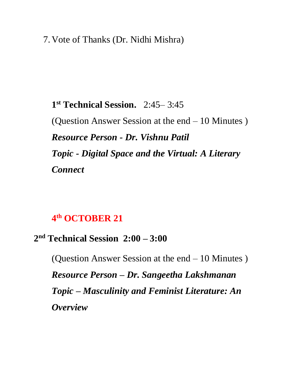#### 7. Vote of Thanks (Dr. Nidhi Mishra)

**1 st Technical Session.** 2:45– 3:45 (Question Answer Session at the end – 10 Minutes ) *Resource Person - Dr. Vishnu Patil Topic - Digital Space and the Virtual: A Literary Connect* 

#### **4 th OCTOBER 21**

#### **2 nd Technical Session 2:00 – 3:00**

(Question Answer Session at the end – 10 Minutes ) *Resource Person – Dr. Sangeetha Lakshmanan Topic – Masculinity and Feminist Literature: An Overview*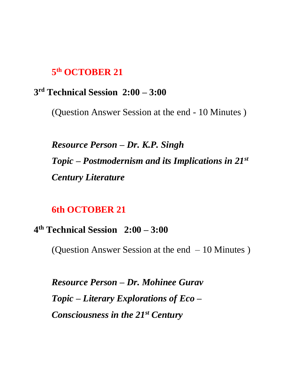#### **5 th OCTOBER 21**

#### **3 rd Technical Session 2:00 – 3:00**

(Question Answer Session at the end - 10 Minutes )

*Resource Person – Dr. K.P. Singh Topic – Postmodernism and its Implications in 21st Century Literature*

#### **6th OCTOBER 21**

#### **4 th Technical Session 2:00 – 3:00**

(Question Answer Session at the end – 10 Minutes )

*Resource Person – Dr. Mohinee Gurav Topic – Literary Explorations of Eco – Consciousness in the 21st Century*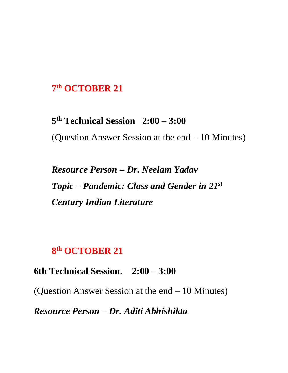## **7 th OCTOBER 21**

**5 th Technical Session 2:00 – 3:00**  (Question Answer Session at the end – 10 Minutes)

*Resource Person – Dr. Neelam Yadav Topic – Pandemic: Class and Gender in 21st Century Indian Literature* 

#### **8 th OCTOBER 21**

**6th Technical Session. 2:00 – 3:00** 

(Question Answer Session at the end – 10 Minutes)

*Resource Person – Dr. Aditi Abhishikta*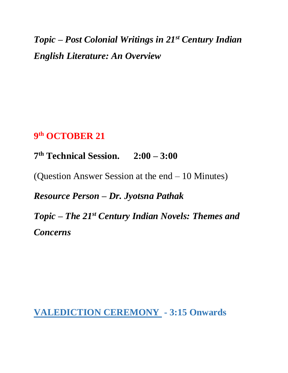*Topic – Post Colonial Writings in 21st Century Indian English Literature: An Overview*

## **9 th OCTOBER 21**

**7 th Technical Session. 2:00 – 3:00** 

(Question Answer Session at the end – 10 Minutes)

*Resource Person – Dr. Jyotsna Pathak* 

*Topic – The 21st Century Indian Novels: Themes and Concerns* 

**VALEDICTION CEREMONY - 3:15 Onwards**